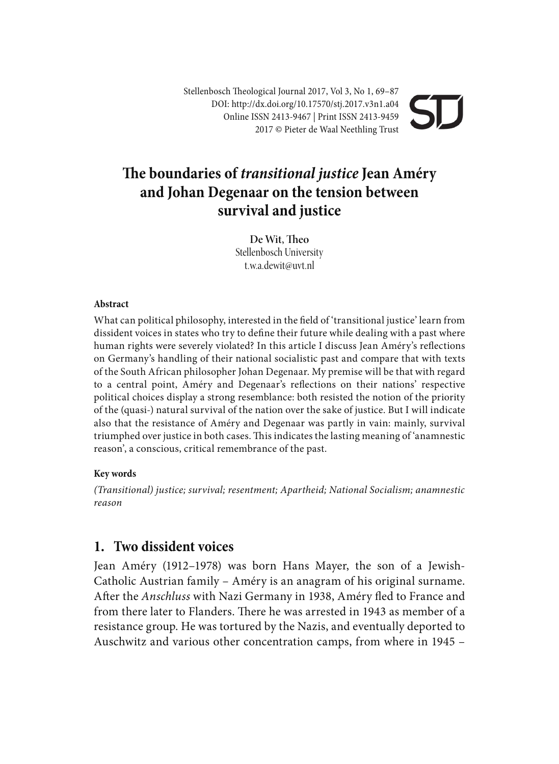Stellenbosch Theological Journal 2017, Vol 3, No 1, 69–87 DOI: http://dx.doi.org/10.17570/stj.2017.v3n1.a04 Online ISSN 2413-9467 | Print ISSN 2413-9459 2017 © Pieter de Waal Neethling Trust

# **e boundaries of** *transitional justice* **Jean Améry and Johan Degenaar on the tension between survival and justice**

De Wit, Theo Stellenbosch University t.w.a.dewit@uvt.nl

#### **Abstract**

What can political philosophy, interested in the field of 'transitional justice' learn from dissident voices in states who try to define their future while dealing with a past where human rights were severely violated? In this article I discuss Jean Améry's reflections on Germany's handling of their national socialistic past and compare that with texts of the South African philosopher Johan Degenaar. My premise will be that with regard to a central point, Améry and Degenaar's reflections on their nations' respective political choices display a strong resemblance: both resisted the notion of the priority of the (quasi-) natural survival of the nation over the sake of justice. But I will indicate also that the resistance of Améry and Degenaar was partly in vain: mainly, survival triumphed over justice in both cases. This indicates the lasting meaning of 'anamnestic reason', a conscious, critical remembrance of the past.

#### **Key words**

*(Transitional) justice; survival; resentment; Apartheid; National Socialism; anamnestic reason*

### **1. Two dissident voices**

Jean Améry (1912–1978) was born Hans Mayer, the son of a Jewish-Catholic Austrian family – Améry is an anagram of his original surname. After the *Anschluss* with Nazi Germany in 1938, Améry fled to France and from there later to Flanders. There he was arrested in 1943 as member of a resistance group. He was tortured by the Nazis, and eventually deported to Auschwitz and various other concentration camps, from where in 1945 –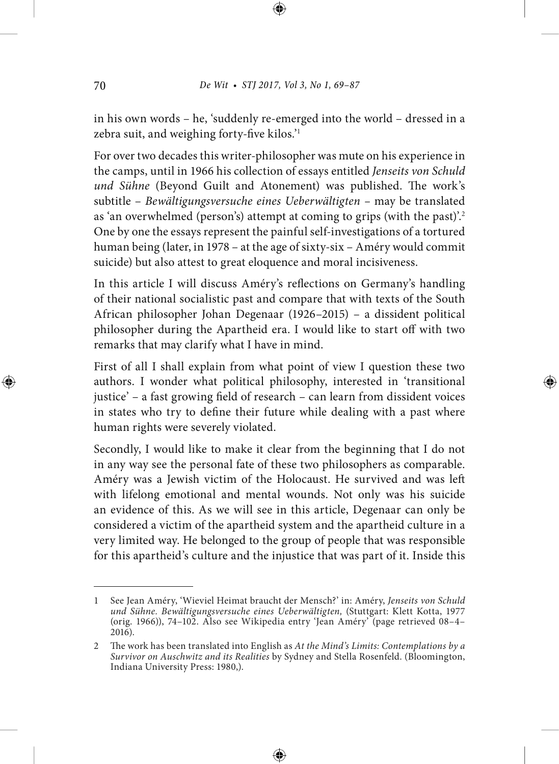in his own words – he, 'suddenly re-emerged into the world – dressed in a zebra suit, and weighing forty-five kilos.<sup>'1</sup>

For over two decades this writer-philosopher was mute on his experience in the camps, until in 1966 his collection of essays entitled *Jenseits von Schuld*  und Sühne (Beyond Guilt and Atonement) was published. The work's subtitle – *Bewältigungsversuche eines Ueberwältigten –* may be translated as 'an overwhelmed (person's) attempt at coming to grips (with the past)'.<sup>2</sup> One by one the essays represent the painful self-investigations of a tortured human being (later, in 1978 – at the age of sixty-six – Améry would commit suicide) but also attest to great eloquence and moral incisiveness.

In this article I will discuss Améry's reflections on Germany's handling of their national socialistic past and compare that with texts of the South African philosopher Johan Degenaar (1926–2015) – a dissident political philosopher during the Apartheid era. I would like to start off with two remarks that may clarify what I have in mind.

First of all I shall explain from what point of view I question these two authors. I wonder what political philosophy, interested in 'transitional justice' – a fast growing field of research – can learn from dissident voices in states who try to define their future while dealing with a past where human rights were severely violated.

Secondly, I would like to make it clear from the beginning that I do not in any way see the personal fate of these two philosophers as comparable. Améry was a Jewish victim of the Holocaust. He survived and was le with lifelong emotional and mental wounds. Not only was his suicide an evidence of this. As we will see in this article, Degenaar can only be considered a victim of the apartheid system and the apartheid culture in a very limited way. He belonged to the group of people that was responsible for this apartheid's culture and the injustice that was part of it. Inside this

<sup>1</sup> See Jean Améry, 'Wieviel Heimat braucht der Mensch?' in: Améry, *Jenseits von Schuld und Sühne. Bewältigungsversuche eines Ueberwältigten,* (Stuttgart: Klett Kotta, 1977 (orig. 1966)), 74–102. Also see Wikipedia entry 'Jean Améry' (page retrieved 08–4–  $2016$ ).

<sup>2</sup> The work has been translated into English as *At the Mind's Limits: Contemplations by a Survivor on Auschwitz and its Realities* by Sydney and Stella Rosenfeld. (Bloomington, Indiana University Press: 1980,).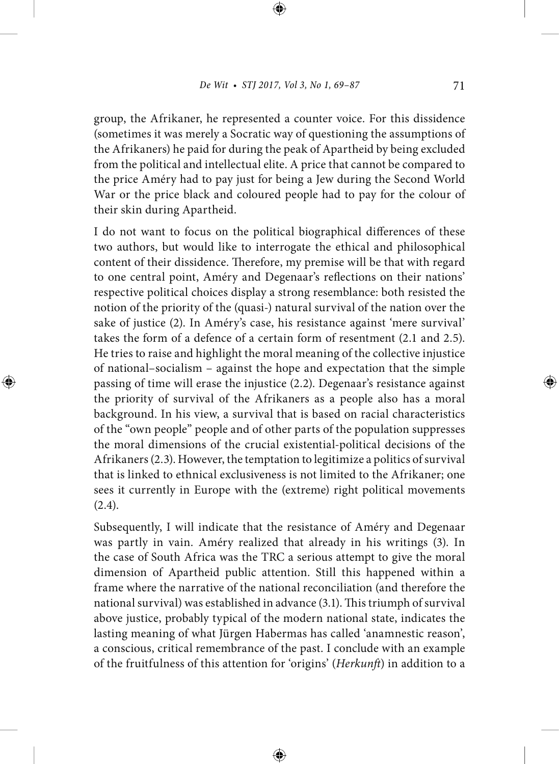group, the Afrikaner, he represented a counter voice. For this dissidence (sometimes it was merely a Socratic way of questioning the assumptions of the Afrikaners) he paid for during the peak of Apartheid by being excluded from the political and intellectual elite. A price that cannot be compared to the price Améry had to pay just for being a Jew during the Second World War or the price black and coloured people had to pay for the colour of their skin during Apartheid.

I do not want to focus on the political biographical differences of these two authors, but would like to interrogate the ethical and philosophical content of their dissidence. Therefore, my premise will be that with regard to one central point, Améry and Degenaar's reflections on their nations' respective political choices display a strong resemblance: both resisted the notion of the priority of the (quasi-) natural survival of the nation over the sake of justice (2). In Améry's case, his resistance against 'mere survival' takes the form of a defence of a certain form of resentment (2.1 and 2.5). He tries to raise and highlight the moral meaning of the collective injustice of national–socialism – against the hope and expectation that the simple passing of time will erase the injustice (2.2). Degenaar's resistance against the priority of survival of the Afrikaners as a people also has a moral background. In his view, a survival that is based on racial characteristics of the "own people" people and of other parts of the population suppresses the moral dimensions of the crucial existential-political decisions of the Afrikaners (2.3). However, the temptation to legitimize a politics of survival that is linked to ethnical exclusiveness is not limited to the Afrikaner; one sees it currently in Europe with the (extreme) right political movements (2.4).

Subsequently, I will indicate that the resistance of Améry and Degenaar was partly in vain. Améry realized that already in his writings (3). In the case of South Africa was the TRC a serious attempt to give the moral dimension of Apartheid public attention. Still this happened within a frame where the narrative of the national reconciliation (and therefore the national survival) was established in advance (3.1). This triumph of survival above justice, probably typical of the modern national state, indicates the lasting meaning of what Jürgen Habermas has called 'anamnestic reason', a conscious, critical remembrance of the past. I conclude with an example of the fruitfulness of this attention for 'origins' (*Herkunft*) in addition to a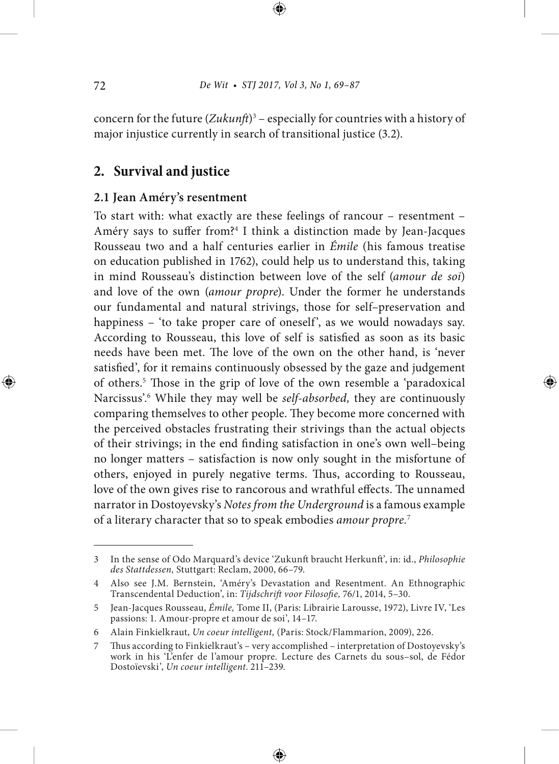concern for the future (Zukunft)<sup>3</sup> – especially for countries with a history of major injustice currently in search of transitional justice (3.2).

# **2. Survival and justice**

### **2.1 Jean Améry's resentment**

To start with: what exactly are these feelings of rancour – resentment – Améry says to suffer from?<sup>4</sup> I think a distinction made by Jean-Jacques Rousseau two and a half centuries earlier in *Émile* (his famous treatise on education published in 1762), could help us to understand this, taking in mind Rousseau's distinction between love of the self (*amour de soi*) and love of the own (*amour propre*). Under the former he understands our fundamental and natural strivings, those for self–preservation and happiness – 'to take proper care of oneself', as we would nowadays say. According to Rousseau, this love of self is satisfied as soon as its basic needs have been met. The love of the own on the other hand, is 'never satisfied', for it remains continuously obsessed by the gaze and judgement of others.<sup>5</sup> Those in the grip of love of the own resemble a 'paradoxical Narcissus'.6 While they may well be *self-absorbed,* they are continuously comparing themselves to other people. They become more concerned with the perceived obstacles frustrating their strivings than the actual objects of their strivings; in the end finding satisfaction in one's own well-being no longer matters – satisfaction is now only sought in the misfortune of others, enjoyed in purely negative terms. Thus, according to Rousseau, love of the own gives rise to rancorous and wrathful effects. The unnamed narrator in Dostoyevsky's *Notes from the Underground* is a famous example of a literary character that so to speak embodies *amour propre.*<sup>7</sup>

<sup>3</sup> In the sense of Odo Marquard's device 'Zukunft braucht Herkunft', in: id., *Philosophie des Stattdessen,* Stuttgart: Reclam, 2000, 66–79.

<sup>4</sup> Also see J.M. Bernstein, 'Améry's Devastation and Resentment. An Ethnographic Transcendental Deduction', in: Tijdschrift voor Filosofie, 76/1, 2014, 5-30.

<sup>5</sup> Jean-Jacques Rousseau, *Émile,* Tome II, (Paris: Librairie Larousse, 1972), Livre IV, 'Les passions: 1. Amour-propre et amour de soi', 14–17.

<sup>6</sup> Alain Finkielkraut, *Un coeur intelligent,* (Paris: Stock/Flammarion, 2009), 226.

<sup>7</sup> Thus according to Finkielkraut's – very accomplished – interpretation of Dostoyevsky's work in his 'L'enfer de l'amour propre. Lecture des Carnets du sous–sol, de Fédor Dostoïevski', *Un coeur intelligent*. 211–239.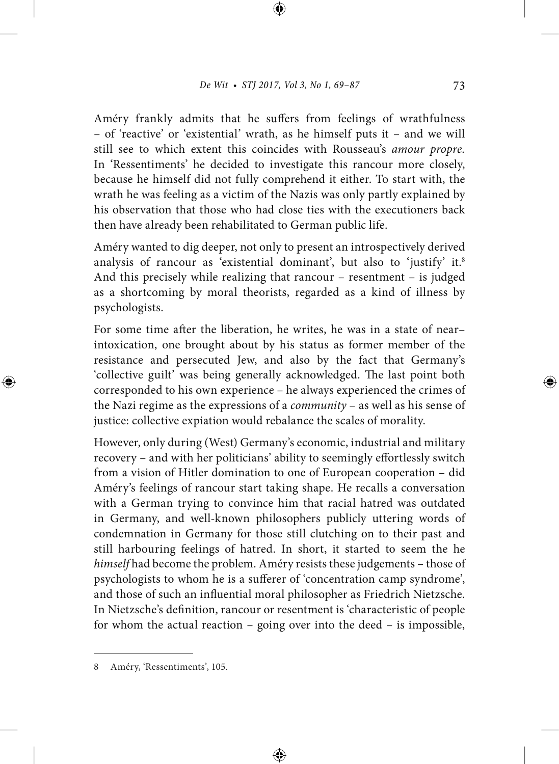Améry frankly admits that he suffers from feelings of wrathfulness – of 'reactive' or 'existential' wrath, as he himself puts it – and we will still see to which extent this coincides with Rousseau's *amour propre.* In 'Ressentiments' he decided to investigate this rancour more closely, because he himself did not fully comprehend it either. To start with, the wrath he was feeling as a victim of the Nazis was only partly explained by his observation that those who had close ties with the executioners back then have already been rehabilitated to German public life.

Améry wanted to dig deeper, not only to present an introspectively derived analysis of rancour as 'existential dominant', but also to 'justify' it.<sup>8</sup> And this precisely while realizing that rancour – resentment – is judged as a shortcoming by moral theorists, regarded as a kind of illness by psychologists.

For some time after the liberation, he writes, he was in a state of nearintoxication, one brought about by his status as former member of the resistance and persecuted Jew, and also by the fact that Germany's 'collective guilt' was being generally acknowledged. The last point both corresponded to his own experience – he always experienced the crimes of the Nazi regime as the expressions of a *community* – as well as his sense of justice: collective expiation would rebalance the scales of morality.

However, only during (West) Germany's economic, industrial and military recovery – and with her politicians' ability to seemingly effortlessly switch from a vision of Hitler domination to one of European cooperation – did Améry's feelings of rancour start taking shape. He recalls a conversation with a German trying to convince him that racial hatred was outdated in Germany, and well-known philosophers publicly uttering words of condemnation in Germany for those still clutching on to their past and still harbouring feelings of hatred. In short, it started to seem the he *himself* had become the problem. Améry resists these judgements – those of psychologists to whom he is a sufferer of 'concentration camp syndrome', and those of such an influential moral philosopher as Friedrich Nietzsche. In Nietzsche's definition, rancour or resentment is 'characteristic of people for whom the actual reaction – going over into the deed – is impossible,

<sup>8</sup> Améry, 'Ressentiments', 105.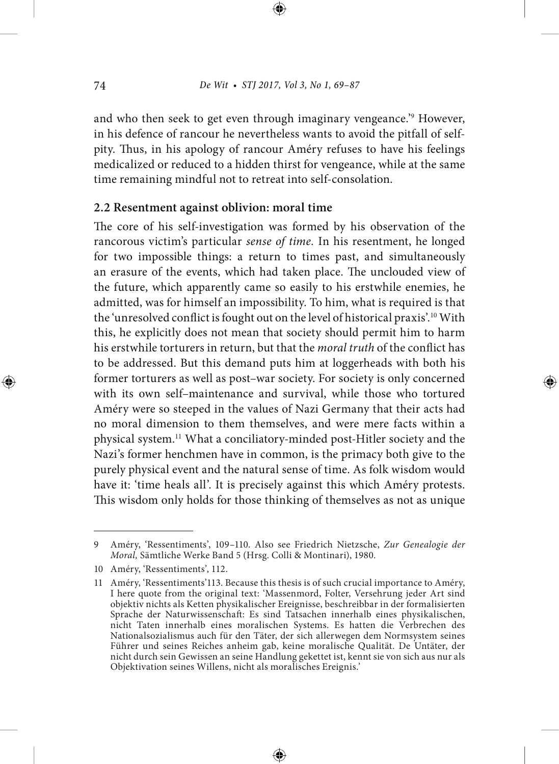and who then seek to get even through imaginary vengeance.'9 However, in his defence of rancour he nevertheless wants to avoid the pitfall of selfpity. Thus, in his apology of rancour Améry refuses to have his feelings medicalized or reduced to a hidden thirst for vengeance, while at the same time remaining mindful not to retreat into self-consolation.

#### **2.2 Resentment against oblivion: moral time**

The core of his self-investigation was formed by his observation of the rancorous victim's particular *sense of time.* In his resentment, he longed for two impossible things: a return to times past, and simultaneously an erasure of the events, which had taken place. The unclouded view of the future, which apparently came so easily to his erstwhile enemies, he admitted, was for himself an impossibility. To him, what is required is that the 'unresolved conflict is fought out on the level of historical praxis'.<sup>10</sup> With this, he explicitly does not mean that society should permit him to harm his erstwhile torturers in return, but that the *moral truth* of the conflict has to be addressed. But this demand puts him at loggerheads with both his former torturers as well as post–war society. For society is only concerned with its own self–maintenance and survival, while those who tortured Améry were so steeped in the values of Nazi Germany that their acts had no moral dimension to them themselves, and were mere facts within a physical system.11 What a conciliatory-minded post-Hitler society and the Nazi's former henchmen have in common, is the primacy both give to the purely physical event and the natural sense of time. As folk wisdom would have it: 'time heals all'. It is precisely against this which Améry protests. This wisdom only holds for those thinking of themselves as not as unique

<sup>9</sup> Améry, 'Ressentiments', 109–110. Also see Friedrich Nietzsche, *Zur Genealogie der Moral,* Sämtliche Werke Band 5 (Hrsg. Colli & Montinari), 1980.

<sup>10</sup> Améry, 'Ressentiments', 112.

<sup>11</sup> Améry, 'Ressentiments'113. Because this thesis is of such crucial importance to Améry, I here quote from the original text: 'Massenmord, Folter, Versehrung jeder Art sind objektiv nichts als Ketten physikalischer Ereignisse, beschreibbar in der formalisierten Sprache der Naturwissenschaft: Es sind Tatsachen innerhalb eines physikalischen, nicht Taten innerhalb eines moralischen Systems. Es hatten die Verbrechen des Nationalsozialismus auch für den Täter, der sich allerwegen dem Normsystem seines Führer und seines Reiches anheim gab, keine moralische Qualität. De Untäter, der nicht durch sein Gewissen an seine Handlung gekettet ist, kennt sie von sich aus nur als Objektivation seines Willens, nicht als moralisches Ereignis.'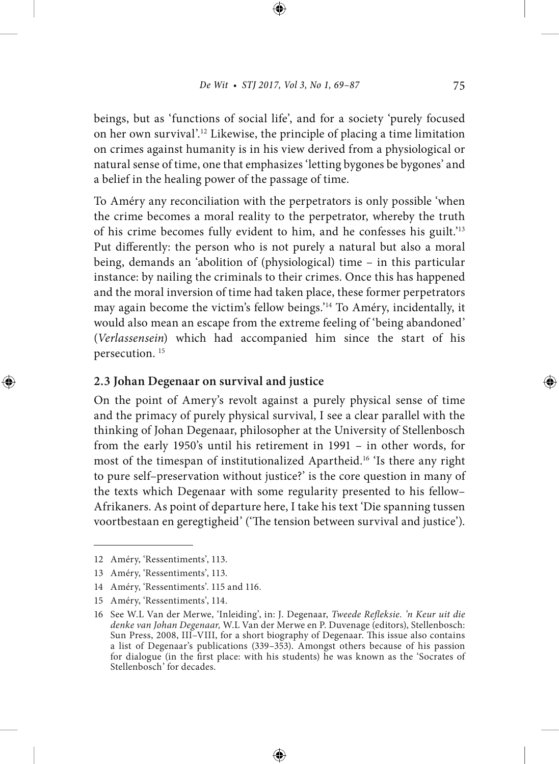beings, but as 'functions of social life', and for a society 'purely focused on her own survival'.12 Likewise, the principle of placing a time limitation on crimes against humanity is in his view derived from a physiological or natural sense of time, one that emphasizes 'letting bygones be bygones' and a belief in the healing power of the passage of time.

To Améry any reconciliation with the perpetrators is only possible 'when the crime becomes a moral reality to the perpetrator, whereby the truth of his crime becomes fully evident to him, and he confesses his guilt.'13 Put differently: the person who is not purely a natural but also a moral being, demands an 'abolition of (physiological) time – in this particular instance: by nailing the criminals to their crimes. Once this has happened and the moral inversion of time had taken place, these former perpetrators may again become the victim's fellow beings.'14 To Améry, incidentally, it would also mean an escape from the extreme feeling of 'being abandoned' (*Verlassensein*) which had accompanied him since the start of his persecution. 15

### **2.3 Johan Degenaar on survival and justice**

On the point of Amery's revolt against a purely physical sense of time and the primacy of purely physical survival, I see a clear parallel with the thinking of Johan Degenaar, philosopher at the University of Stellenbosch from the early 1950's until his retirement in 1991 – in other words, for most of the timespan of institutionalized Apartheid.16 'Is there any right to pure self–preservation without justice?' is the core question in many of the texts which Degenaar with some regularity presented to his fellow– Afrikaners. As point of departure here, I take his text 'Die spanning tussen voortbestaan en geregtigheid' ('The tension between survival and justice').

<sup>12</sup> Améry, 'Ressentiments', 113.

<sup>13</sup> Améry, 'Ressentiments', 113.

<sup>14</sup> Améry, 'Ressentiments'. 115 and 116.

<sup>15</sup> Améry, 'Ressentiments', 114.

<sup>16</sup> See W.L Van der Merwe, 'Inleiding', in: J. Degenaar, *Tweede Refleksie. 'n Keur uit die denke van Johan Degenaar,* W.L Van der Merwe en P. Duvenage (editors), Stellenbosch: Sun Press, 2008, III-VIII, for a short biography of Degenaar. This issue also contains a list of Degenaar's publications (339–353). Amongst others because of his passion for dialogue (in the first place: with his students) he was known as the 'Socrates of Stellenbosch' for decades.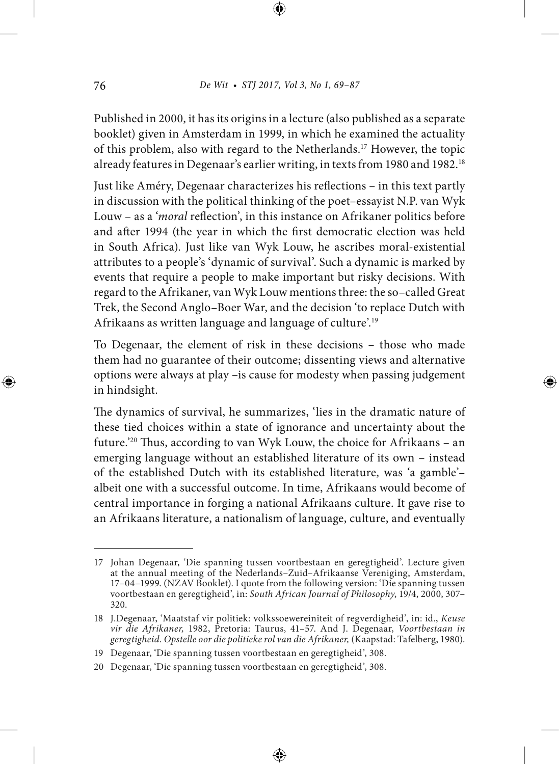Published in 2000, it has its origins in a lecture (also published as a separate booklet) given in Amsterdam in 1999, in which he examined the actuality of this problem, also with regard to the Netherlands.17 However, the topic already features in Degenaar's earlier writing, in texts from 1980 and 1982.18

Just like Améry, Degenaar characterizes his reflections - in this text partly in discussion with the political thinking of the poet–essayist N.P. van Wyk Louw - as a '*moral* reflection', in this instance on Afrikaner politics before and after 1994 (the year in which the first democratic election was held in South Africa). Just like van Wyk Louw, he ascribes moral-existential attributes to a people's 'dynamic of survival'. Such a dynamic is marked by events that require a people to make important but risky decisions. With regard to the Afrikaner, van Wyk Louw mentions three: the so–called Great Trek, the Second Anglo–Boer War, and the decision 'to replace Dutch with Afrikaans as written language and language of culture'.19

To Degenaar, the element of risk in these decisions – those who made them had no guarantee of their outcome; dissenting views and alternative options were always at play –is cause for modesty when passing judgement in hindsight.

The dynamics of survival, he summarizes, 'lies in the dramatic nature of these tied choices within a state of ignorance and uncertainty about the future.<sup>'20</sup> Thus, according to van Wyk Louw, the choice for Afrikaans – an emerging language without an established literature of its own – instead of the established Dutch with its established literature, was 'a gamble'– albeit one with a successful outcome. In time, Afrikaans would become of central importance in forging a national Afrikaans culture. It gave rise to an Afrikaans literature, a nationalism of language, culture, and eventually

<sup>17</sup> Johan Degenaar, 'Die spanning tussen voortbestaan en geregtigheid'. Lecture given at the annual meeting of the Nederlands–Zuid–Afrikaanse Vereniging, Amsterdam, 17–04–1999. (NZAV Booklet). I quote from the following version: 'Die spanning tussen voortbestaan en geregtigheid', in: *South African Journal of Philosophy*, 19/4, 2000, 307– 320.

<sup>18</sup> J.Degenaar, 'Maatstaf vir politiek: volkssoewereiniteit of regverdigheid', in: id., *Keuse vir die Afrikaner,* 1982, Pretoria: Taurus, 41–57. And J. Degenaar, *Voortbestaan in geregtigheid. Opstelle oor die politieke rol van die Afrikaner,* (Kaapstad: Tafelberg, 1980).

<sup>19</sup> Degenaar, 'Die spanning tussen voortbestaan en geregtigheid', 308.

<sup>20</sup> Degenaar, 'Die spanning tussen voortbestaan en geregtigheid', 308.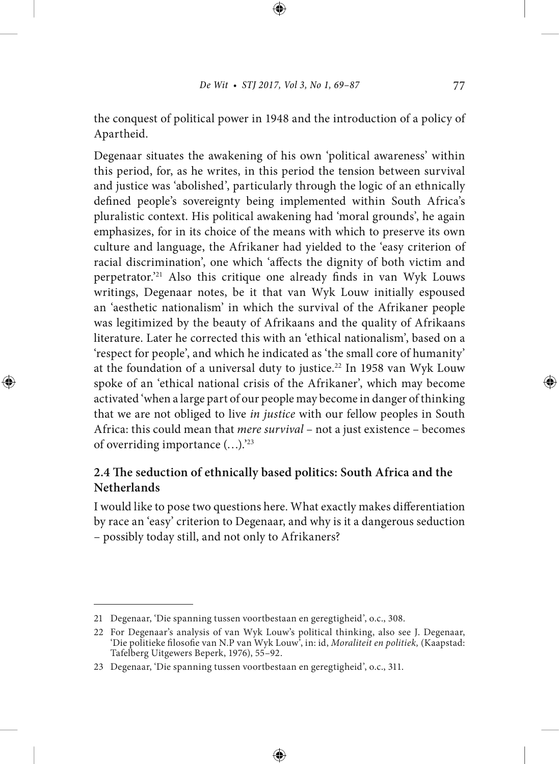the conquest of political power in 1948 and the introduction of a policy of Apartheid.

Degenaar situates the awakening of his own 'political awareness' within this period, for, as he writes, in this period the tension between survival and justice was 'abolished', particularly through the logic of an ethnically defined people's sovereignty being implemented within South Africa's pluralistic context. His political awakening had 'moral grounds', he again emphasizes, for in its choice of the means with which to preserve its own culture and language, the Afrikaner had yielded to the 'easy criterion of racial discrimination', one which 'affects the dignity of both victim and perpetrator.<sup>21</sup> Also this critique one already finds in van Wyk Louws writings, Degenaar notes, be it that van Wyk Louw initially espoused an 'aesthetic nationalism' in which the survival of the Afrikaner people was legitimized by the beauty of Afrikaans and the quality of Afrikaans literature. Later he corrected this with an 'ethical nationalism', based on a 'respect for people', and which he indicated as 'the small core of humanity' at the foundation of a universal duty to justice.<sup>22</sup> In 1958 van Wyk Louw spoke of an 'ethical national crisis of the Afrikaner', which may become activated 'when a large part of our people may become in danger of thinking that we are not obliged to live *in justice* with our fellow peoples in South Africa: this could mean that *mere survival* – not a just existence – becomes of overriding importance (…).'23

### 2.4 The seduction of ethnically based politics: South Africa and the **Netherlands**

I would like to pose two questions here. What exactly makes differentiation by race an 'easy' criterion to Degenaar, and why is it a dangerous seduction – possibly today still, and not only to Afrikaners?

<sup>21</sup> Degenaar, 'Die spanning tussen voortbestaan en geregtigheid', o.c., 308.

<sup>22</sup> For Degenaar's analysis of van Wyk Louw's political thinking, also see J. Degenaar, 'Die politieke filosofie van N.P van Wyk Louw<sup>3</sup>, in: id, *Moraliteit en politiek*, (Kaapstad: Tafelberg Uitgewers Beperk, 1976), 55–92.

<sup>23</sup> Degenaar, 'Die spanning tussen voortbestaan en geregtigheid', o.c., 311.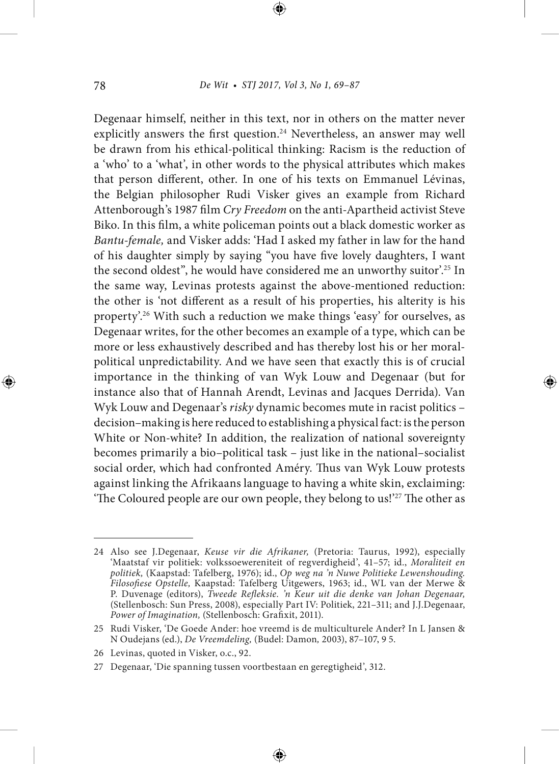Degenaar himself, neither in this text, nor in others on the matter never explicitly answers the first question.<sup>24</sup> Nevertheless, an answer may well be drawn from his ethical-political thinking: Racism is the reduction of a 'who' to a 'what', in other words to the physical attributes which makes that person different, other. In one of his texts on Emmanuel Lévinas, the Belgian philosopher Rudi Visker gives an example from Richard Attenborough's 1987 film Cry Freedom on the anti-Apartheid activist Steve Biko. In this film, a white policeman points out a black domestic worker as *Bantu-female,* and Visker adds: 'Had I asked my father in law for the hand of his daughter simply by saying "you have five lovely daughters, I want the second oldest", he would have considered me an unworthy suitor'.<sup>25</sup> In the same way, Levinas protests against the above-mentioned reduction: the other is 'not different as a result of his properties, his alterity is his property'.<sup>26</sup> With such a reduction we make things 'easy' for ourselves, as Degenaar writes, for the other becomes an example of a type, which can be more or less exhaustively described and has thereby lost his or her moralpolitical unpredictability. And we have seen that exactly this is of crucial importance in the thinking of van Wyk Louw and Degenaar (but for instance also that of Hannah Arendt, Levinas and Jacques Derrida). Van Wyk Louw and Degenaar's *risky* dynamic becomes mute in racist politics – decision–making is here reduced to establishing a physical fact: is the person White or Non-white? In addition, the realization of national sovereignty becomes primarily a bio–political task – just like in the national–socialist social order, which had confronted Améry. Thus van Wyk Louw protests against linking the Afrikaans language to having a white skin, exclaiming: 'The Coloured people are our own people, they belong to us!'<sup>27</sup> The other as

<sup>24</sup> Also see J.Degenaar, *Keuse vir die Afrikaner,* (Pretoria: Taurus, 1992), especially 'Maatstaf vir politiek: volkssoewereniteit of regverdigheid', 41–57; id., *Moraliteit en politiek,* (Kaapstad: Tafelberg, 1976); id., *Op weg na 'n Nuwe Politieke Lewenshouding. Filosoese Opstelle,* Kaapstad: Tafelberg Uitgewers, 1963; id., WL van der Merwe & P. Duvenage (editors), *Tweede Refleksie. 'n Keur uit die denke van Johan Degenaar*, (Stellenbosch: Sun Press, 2008), especially Part IV: Politiek, 221–311; and J.J.Degenaar, Power of Imagination, (Stellenbosch: Grafixit, 2011).

<sup>25</sup> Rudi Visker, 'De Goede Ander: hoe vreemd is de multiculturele Ander? In L Jansen & N Oudejans (ed.), *De Vreemdeling,* (Budel: Damon*,* 2003), 87–107, 9 5.

<sup>26</sup> Levinas, quoted in Visker, o.c., 92.

<sup>27</sup> Degenaar, 'Die spanning tussen voortbestaan en geregtigheid', 312.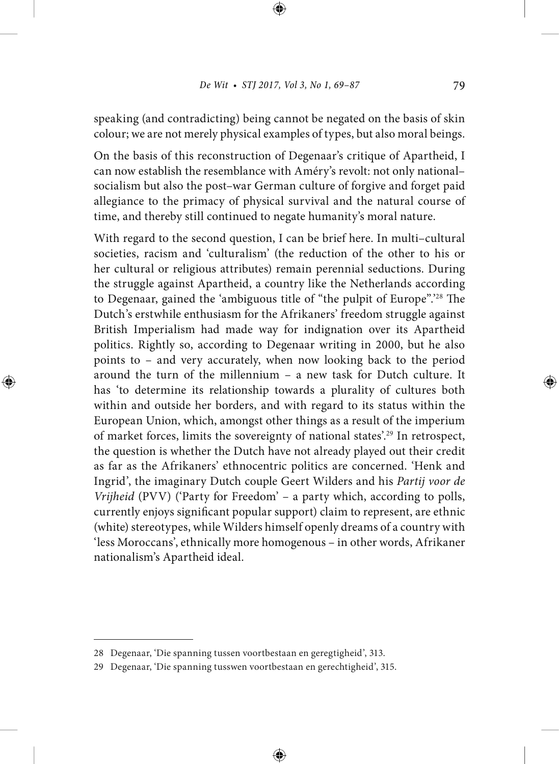speaking (and contradicting) being cannot be negated on the basis of skin colour; we are not merely physical examples of types, but also moral beings.

On the basis of this reconstruction of Degenaar's critique of Apartheid, I can now establish the resemblance with Améry's revolt: not only national– socialism but also the post–war German culture of forgive and forget paid allegiance to the primacy of physical survival and the natural course of time, and thereby still continued to negate humanity's moral nature.

With regard to the second question, I can be brief here. In multi–cultural societies, racism and 'culturalism' (the reduction of the other to his or her cultural or religious attributes) remain perennial seductions. During the struggle against Apartheid, a country like the Netherlands according to Degenaar, gained the 'ambiguous title of "the pulpit of Europe".<sup>28</sup> The Dutch's erstwhile enthusiasm for the Afrikaners' freedom struggle against British Imperialism had made way for indignation over its Apartheid politics. Rightly so, according to Degenaar writing in 2000, but he also points to – and very accurately, when now looking back to the period around the turn of the millennium – a new task for Dutch culture. It has 'to determine its relationship towards a plurality of cultures both within and outside her borders, and with regard to its status within the European Union, which, amongst other things as a result of the imperium of market forces, limits the sovereignty of national states'.29 In retrospect, the question is whether the Dutch have not already played out their credit as far as the Afrikaners' ethnocentric politics are concerned. 'Henk and Ingrid', the imaginary Dutch couple Geert Wilders and his *Partij voor de Vrijheid* (PVV) ('Party for Freedom' – a party which, according to polls, currently enjoys significant popular support) claim to represent, are ethnic (white) stereotypes, while Wilders himself openly dreams of a country with 'less Moroccans', ethnically more homogenous – in other words, Afrikaner nationalism's Apartheid ideal.

<sup>28</sup> Degenaar, 'Die spanning tussen voortbestaan en geregtigheid', 313.

<sup>29</sup> Degenaar, 'Die spanning tusswen voortbestaan en gerechtigheid', 315.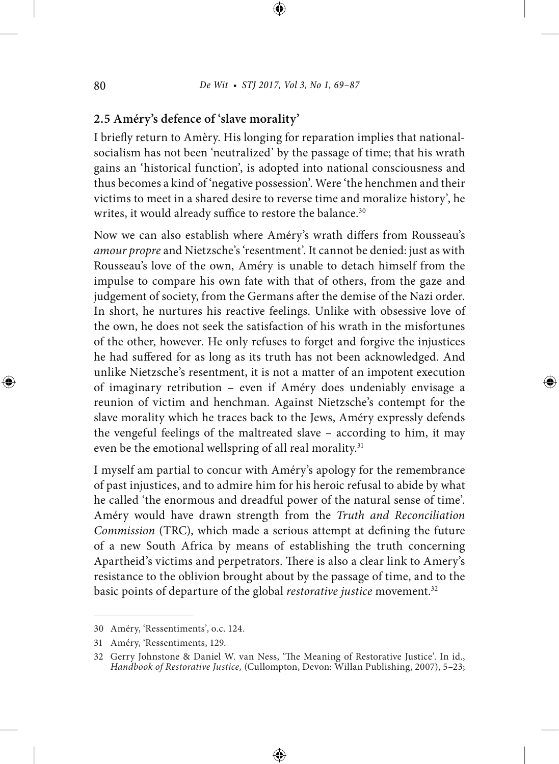### **2.5 Améry's defence of 'slave morality'**

I briefly return to Amèry. His longing for reparation implies that nationalsocialism has not been 'neutralized' by the passage of time; that his wrath gains an 'historical function', is adopted into national consciousness and thus becomes a kind of 'negative possession'. Were 'the henchmen and their victims to meet in a shared desire to reverse time and moralize history', he writes, it would already suffice to restore the balance.<sup>30</sup>

Now we can also establish where Améry's wrath differs from Rousseau's *amour propre* and Nietzsche's 'resentment'. It cannot be denied: just as with Rousseau's love of the own, Améry is unable to detach himself from the impulse to compare his own fate with that of others, from the gaze and judgement of society, from the Germans after the demise of the Nazi order. In short, he nurtures his reactive feelings. Unlike with obsessive love of the own, he does not seek the satisfaction of his wrath in the misfortunes of the other, however. He only refuses to forget and forgive the injustices he had suffered for as long as its truth has not been acknowledged. And unlike Nietzsche's resentment, it is not a matter of an impotent execution of imaginary retribution – even if Améry does undeniably envisage a reunion of victim and henchman. Against Nietzsche's contempt for the slave morality which he traces back to the Jews, Améry expressly defends the vengeful feelings of the maltreated slave – according to him, it may even be the emotional wellspring of all real morality.<sup>31</sup>

I myself am partial to concur with Améry's apology for the remembrance of past injustices, and to admire him for his heroic refusal to abide by what he called 'the enormous and dreadful power of the natural sense of time'. Améry would have drawn strength from the *Truth and Reconciliation Commission* (TRC), which made a serious attempt at defining the future of a new South Africa by means of establishing the truth concerning Apartheid's victims and perpetrators. There is also a clear link to Amery's resistance to the oblivion brought about by the passage of time, and to the basic points of departure of the global *restorative justice* movement.<sup>32</sup>

<sup>30</sup> Améry, 'Ressentiments', o.c. 124.

<sup>31</sup> Améry, 'Ressentiments, 129.

<sup>32</sup> Gerry Johnstone & Daniel W. van Ness, 'The Meaning of Restorative Justice'. In id., *Handbook of Restorative Justice,* (Cullompton, Devon: Willan Publishing, 2007), 5–23;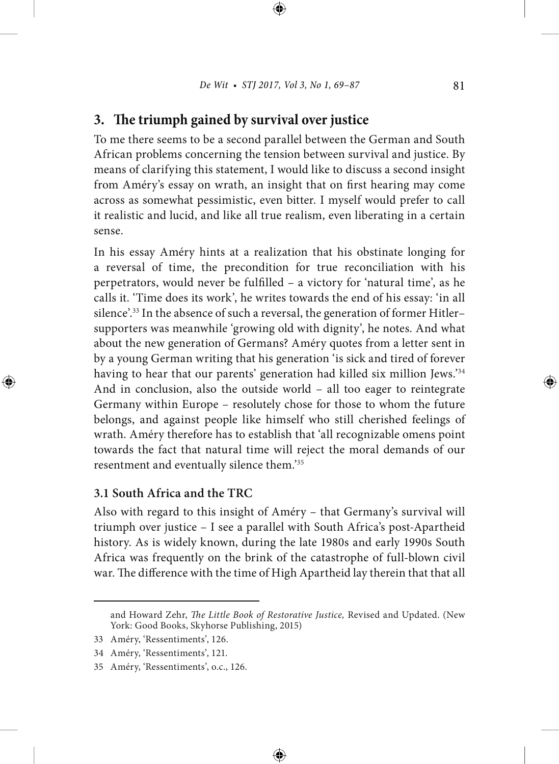# **3.** The triumph gained by survival over justice

To me there seems to be a second parallel between the German and South African problems concerning the tension between survival and justice. By means of clarifying this statement, I would like to discuss a second insight from Améry's essay on wrath, an insight that on first hearing may come across as somewhat pessimistic, even bitter. I myself would prefer to call it realistic and lucid, and like all true realism, even liberating in a certain sense.

In his essay Améry hints at a realization that his obstinate longing for a reversal of time, the precondition for true reconciliation with his perpetrators, would never be fullled – a victory for 'natural time', as he calls it. 'Time does its work', he writes towards the end of his essay: 'in all silence'.33 In the absence of such a reversal, the generation of former Hitler– supporters was meanwhile 'growing old with dignity', he notes. And what about the new generation of Germans? Améry quotes from a letter sent in by a young German writing that his generation 'is sick and tired of forever having to hear that our parents' generation had killed six million Jews.'34 And in conclusion, also the outside world – all too eager to reintegrate Germany within Europe – resolutely chose for those to whom the future belongs, and against people like himself who still cherished feelings of wrath. Améry therefore has to establish that 'all recognizable omens point towards the fact that natural time will reject the moral demands of our resentment and eventually silence them.'35

### **3.1 South Africa and the TRC**

Also with regard to this insight of Améry – that Germany's survival will triumph over justice – I see a parallel with South Africa's post-Apartheid history. As is widely known, during the late 1980s and early 1990s South Africa was frequently on the brink of the catastrophe of full-blown civil war. The difference with the time of High Apartheid lay therein that that all

and Howard Zehr, *The Little Book of Restorative Justice*, Revised and Updated. (New York: Good Books, Skyhorse Publishing, 2015)

<sup>33</sup> Améry, 'Ressentiments', 126.

<sup>34</sup> Améry, 'Ressentiments', 121.

<sup>35</sup> Améry, 'Ressentiments', o.c., 126.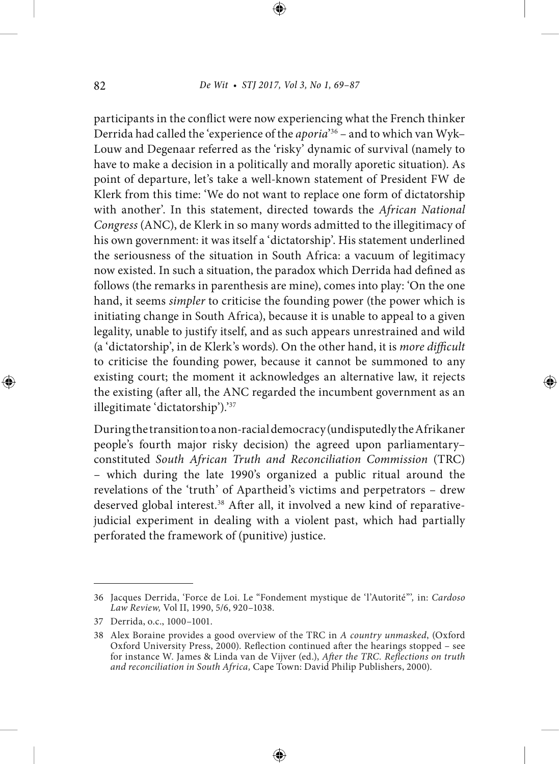participants in the conflict were now experiencing what the French thinker Derrida had called the 'experience of the *aporia*' 36 – and to which van Wyk– Louw and Degenaar referred as the 'risky' dynamic of survival (namely to have to make a decision in a politically and morally aporetic situation). As point of departure, let's take a well-known statement of President FW de Klerk from this time: 'We do not want to replace one form of dictatorship with another'. In this statement, directed towards the *African National Congress* (ANC), de Klerk in so many words admitted to the illegitimacy of his own government: it was itself a 'dictatorship'. His statement underlined the seriousness of the situation in South Africa: a vacuum of legitimacy now existed. In such a situation, the paradox which Derrida had defined as follows (the remarks in parenthesis are mine), comes into play: 'On the one hand, it seems *simpler* to criticise the founding power (the power which is initiating change in South Africa), because it is unable to appeal to a given legality, unable to justify itself, and as such appears unrestrained and wild (a 'dictatorship', in de Klerk's words). On the other hand, it is *more difficult* to criticise the founding power, because it cannot be summoned to any existing court; the moment it acknowledges an alternative law, it rejects the existing (after all, the ANC regarded the incumbent government as an illegitimate 'dictatorship').'37

During the transition to a non-racial democracy (undisputedly the Afrikaner people's fourth major risky decision) the agreed upon parliamentary– constituted *South African Truth and Reconciliation Commission* (TRC) – which during the late 1990's organized a public ritual around the revelations of the 'truth' of Apartheid's victims and perpetrators – drew deserved global interest.<sup>38</sup> After all, it involved a new kind of reparativejudicial experiment in dealing with a violent past, which had partially perforated the framework of (punitive) justice.

<sup>36</sup> Jacques Derrida, 'Force de Loi. Le "Fondement mystique de 'l'Autorité"'*,* in: *Cardoso Law Review,* Vol II, 1990, 5/6, 920–1038.

<sup>37</sup> Derrida, o.c., 1000–1001.

<sup>38</sup> Alex Boraine provides a good overview of the TRC in *A country unmasked*, (Oxford Oxford University Press, 2000). Reflection continued after the hearings stopped - see for instance W. James & Linda van de Vijver (ed.), After the TRC. Reflections on truth *and reconciliation in South Africa,* Cape Town: David Philip Publishers, 2000).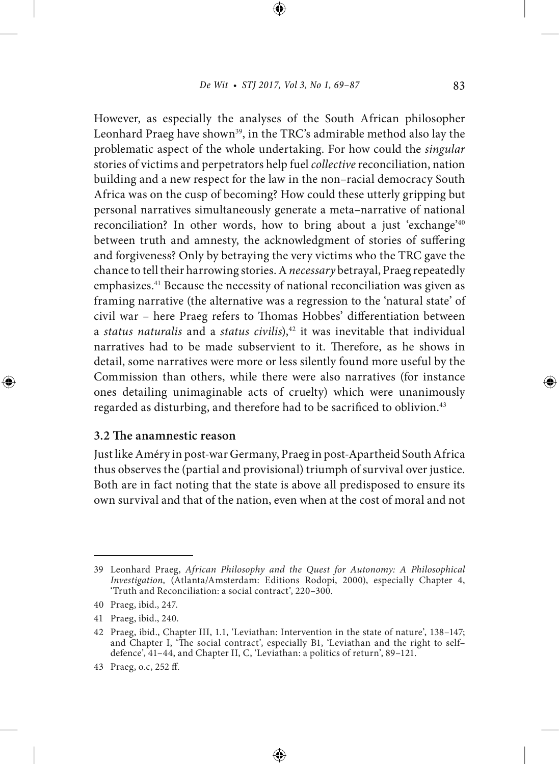However, as especially the analyses of the South African philosopher Leonhard Praeg have shown<sup>39</sup>, in the TRC's admirable method also lay the problematic aspect of the whole undertaking. For how could the *singular* stories of victims and perpetrators help fuel *collective* reconciliation, nation building and a new respect for the law in the non–racial democracy South Africa was on the cusp of becoming? How could these utterly gripping but personal narratives simultaneously generate a meta–narrative of national reconciliation? In other words, how to bring about a just 'exchange'40 between truth and amnesty, the acknowledgment of stories of suffering and forgiveness? Only by betraying the very victims who the TRC gave the chance to tell their harrowing stories. A *necessary* betrayal, Praeg repeatedly emphasizes.41 Because the necessity of national reconciliation was given as framing narrative (the alternative was a regression to the 'natural state' of civil war – here Praeg refers to Thomas Hobbes' differentiation between a *status naturalis* and a *status civilis*),<sup>42</sup> it was inevitable that individual narratives had to be made subservient to it. Therefore, as he shows in detail, some narratives were more or less silently found more useful by the Commission than others, while there were also narratives (for instance ones detailing unimaginable acts of cruelty) which were unanimously regarded as disturbing, and therefore had to be sacrificed to oblivion.<sup>43</sup>

#### **3.2 The anamnestic reason**

Just like Améry in post-war Germany, Praeg in post-Apartheid South Africa thus observes the (partial and provisional) triumph of survival over justice. Both are in fact noting that the state is above all predisposed to ensure its own survival and that of the nation, even when at the cost of moral and not

<sup>39</sup> Leonhard Praeg, *African Philosophy and the Quest for Autonomy: A Philosophical Investigation,* (Atlanta/Amsterdam: Editions Rodopi, 2000), especially Chapter 4, 'Truth and Reconciliation: a social contract', 220–300.

<sup>40</sup> Praeg, ibid., 247.

<sup>41</sup> Praeg, ibid., 240.

<sup>42</sup> Praeg, ibid., Chapter III, 1.1, 'Leviathan: Intervention in the state of nature', 138–147; and Chapter I, 'The social contract', especially B1, 'Leviathan and the right to selfdefence', 41–44, and Chapter II, C, 'Leviathan: a politics of return', 89–121.

<sup>43</sup> Praeg, o.c, 252 ff.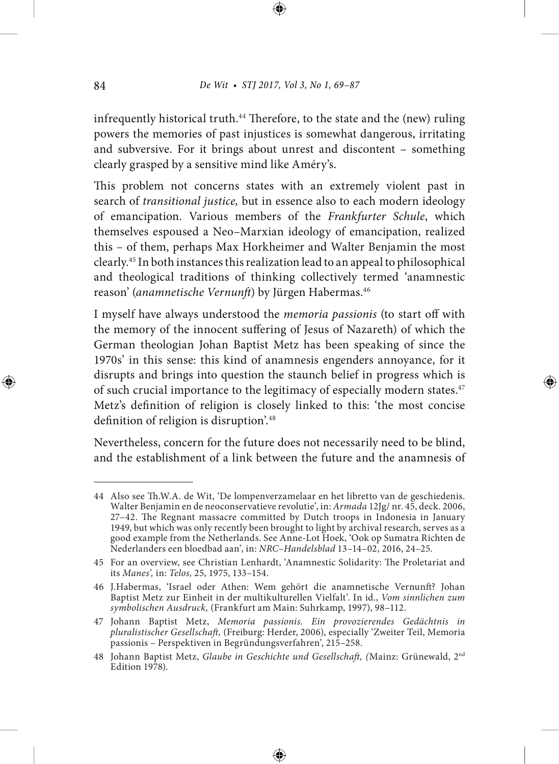infrequently historical truth.<sup>44</sup> Therefore, to the state and the (new) ruling powers the memories of past injustices is somewhat dangerous, irritating and subversive. For it brings about unrest and discontent – something clearly grasped by a sensitive mind like Améry's.

This problem not concerns states with an extremely violent past in search of *transitional justice,* but in essence also to each modern ideology of emancipation. Various members of the *Frankfurter Schule*, which themselves espoused a Neo–Marxian ideology of emancipation, realized this – of them, perhaps Max Horkheimer and Walter Benjamin the most clearly.45 In both instances this realization lead to an appeal to philosophical and theological traditions of thinking collectively termed 'anamnestic reason' (anamnetische Vernunft) by Jürgen Habermas.<sup>46</sup>

I myself have always understood the *memoria passionis* (to start off with the memory of the innocent suffering of Jesus of Nazareth) of which the German theologian Johan Baptist Metz has been speaking of since the 1970s' in this sense: this kind of anamnesis engenders annoyance, for it disrupts and brings into question the staunch belief in progress which is of such crucial importance to the legitimacy of especially modern states.<sup>47</sup> Metz's definition of religion is closely linked to this: 'the most concise definition of religion is disruption'.<sup>48</sup>

Nevertheless, concern for the future does not necessarily need to be blind, and the establishment of a link between the future and the anamnesis of

<sup>44</sup> Also see Th.W.A. de Wit, 'De lompenverzamelaar en het libretto van de geschiedenis. Walter Benjamin en de neoconservatieve revolutie', in: *Armada* 12Jg/ nr. 45, deck. 2006, 27-42. The Regnant massacre committed by Dutch troops in Indonesia in January 1949, but which was only recently been brought to light by archival research, serves as a good example from the Netherlands. See Anne-Lot Hoek, 'Ook op Sumatra Richten de Nederlanders een bloedbad aan', in: *NRC–Handelsblad* 13–14–02, 2016, 24–25.

<sup>45</sup> For an overview, see Christian Lenhardt, 'Anamnestic Solidarity: The Proletariat and its *Manes',* in: *Telos,* 25, 1975, 133–154.

<sup>46</sup> J.Habermas, 'Israel oder Athen: Wem gehört die anamnetische Vernunft? Johan Baptist Metz zur Einheit in der multikulturellen Vielfalt'. In id., *Vom sinnlichen zum symbolischen Ausdruck,* (Frankfurt am Main: Suhrkamp, 1997), 98–112.

<sup>47</sup> Johann Baptist Metz, *Memoria passionis. Ein provozierendes Gedächtnis in*  pluralistischer Gesellschaft, (Freiburg: Herder, 2006), especially 'Zweiter Teil, Memoria passionis – Perspektiven in Begründungsverfahren', 215–258.

<sup>48</sup> Johann Baptist Metz, *Glaube in Geschichte und Gesellschaft*, (Mainz: Grünewald, 2<sup>nd</sup> Edition 1978).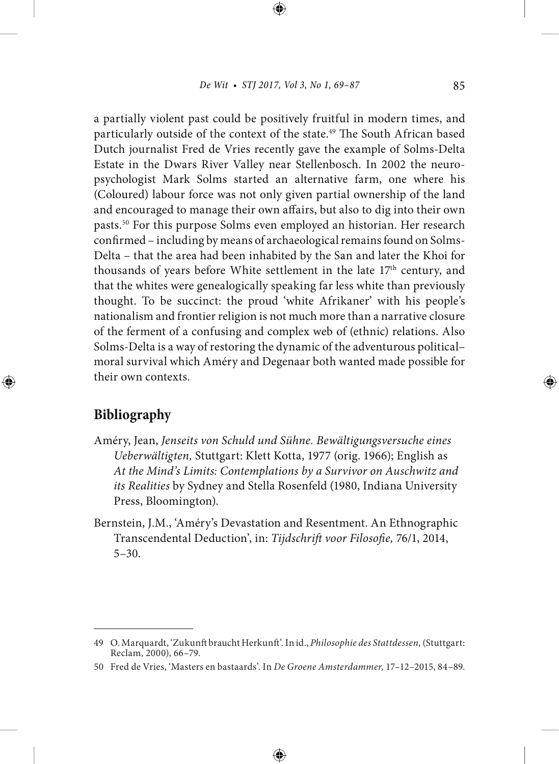a partially violent past could be positively fruitful in modern times, and particularly outside of the context of the state.<sup>49</sup> The South African based Dutch journalist Fred de Vries recently gave the example of Solms-Delta Estate in the Dwars River Valley near Stellenbosch. In 2002 the neuropsychologist Mark Solms started an alternative farm, one where his (Coloured) labour force was not only given partial ownership of the land and encouraged to manage their own affairs, but also to dig into their own pasts.50 For this purpose Solms even employed an historian. Her research confirmed – including by means of archaeological remains found on Solms-Delta – that the area had been inhabited by the San and later the Khoi for thousands of years before White settlement in the late 17<sup>th</sup> century, and that the whites were genealogically speaking far less white than previously thought. To be succinct: the proud 'white Afrikaner' with his people's nationalism and frontier religion is not much more than a narrative closure of the ferment of a confusing and complex web of (ethnic) relations. Also Solms-Delta is a way of restoring the dynamic of the adventurous political– moral survival which Améry and Degenaar both wanted made possible for their own contexts.

# **Bibliography**

- Améry, Jean, *Jenseits von Schuld und Sühne. Bewältigungsversuche eines Ueberwältigten,* Stuttgart: Klett Kotta, 1977 (orig. 1966); English as *At the Mind's Limits: Contemplations by a Survivor on Auschwitz and its Realities* by Sydney and Stella Rosenfeld (1980, Indiana University Press, Bloomington).
- Bernstein, J.M., 'Améry's Devastation and Resentment. An Ethnographic Transcendental Deduction', in: Tijdschrift voor Filosofie, 76/1, 2014, 5–30.

<sup>49</sup> O. Marquardt, 'Zukunft braucht Herkunft'. In id., *Philosophie des Stattdessen*, (Stuttgart: Reclam, 2000), 66–79.

<sup>50</sup> Fred de Vries, 'Masters en bastaards'. In *De Groene Amsterdammer,* 17–12–2015, 84–89.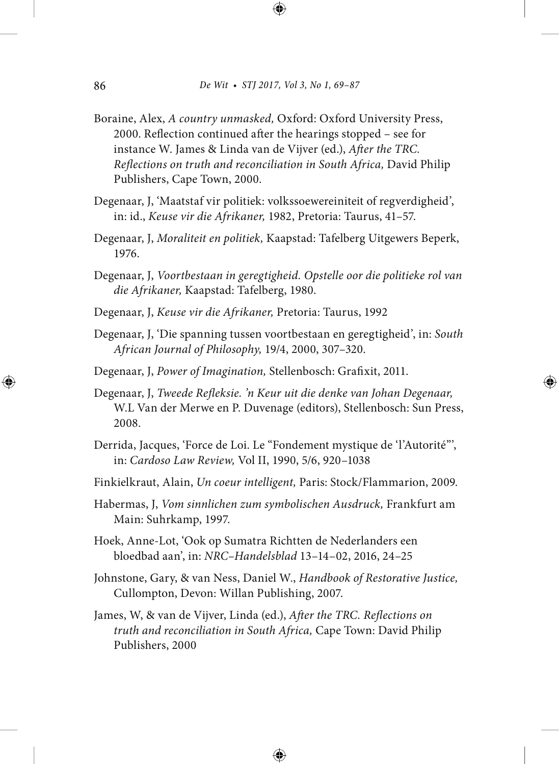- Boraine, Alex, *A country unmasked,* Oxford: Oxford University Press, 2000. Reflection continued after the hearings stopped – see for instance W. James & Linda van de Vijver (ed.), *After the TRC*. *Reflections on truth and reconciliation in South Africa, David Philip* Publishers, Cape Town, 2000.
- Degenaar, J, 'Maatstaf vir politiek: volkssoewereiniteit of regverdigheid', in: id., *Keuse vir die Afrikaner,* 1982, Pretoria: Taurus, 41–57.
- Degenaar, J, *Moraliteit en politiek,* Kaapstad: Tafelberg Uitgewers Beperk, 1976.
- Degenaar, J, *Voortbestaan in geregtigheid. Opstelle oor die politieke rol van die Afrikaner,* Kaapstad: Tafelberg, 1980.
- Degenaar, J, *Keuse vir die Afrikaner,* Pretoria: Taurus, 1992
- Degenaar, J, 'Die spanning tussen voortbestaan en geregtigheid', in: *South African Journal of Philosophy,* 19/4, 2000, 307–320.
- Degenaar, J, Power of Imagination, Stellenbosch: Grafixit, 2011.
- Degenaar, J, *Tweede Refleksie. 'n Keur uit die denke van Johan Degenaar*, W.L Van der Merwe en P. Duvenage (editors), Stellenbosch: Sun Press, 2008.
- Derrida, Jacques, 'Force de Loi. Le "Fondement mystique de 'l'Autorité"', in: *Cardoso Law Review,* Vol II, 1990, 5/6, 920–1038
- Finkielkraut, Alain, *Un coeur intelligent,* Paris: Stock/Flammarion, 2009.
- Habermas, J, *Vom sinnlichen zum symbolischen Ausdruck,* Frankfurt am Main: Suhrkamp, 1997.
- Hoek, Anne-Lot, 'Ook op Sumatra Richtten de Nederlanders een bloedbad aan', in: *NRC–Handelsblad* 13–14–02, 2016, 24–25
- Johnstone, Gary, & van Ness, Daniel W., *Handbook of Restorative Justice,*  Cullompton, Devon: Willan Publishing, 2007.
- James, W, & van de Vijver, Linda (ed.), After the TRC. Reflections on *truth and reconciliation in South Africa,* Cape Town: David Philip Publishers, 2000